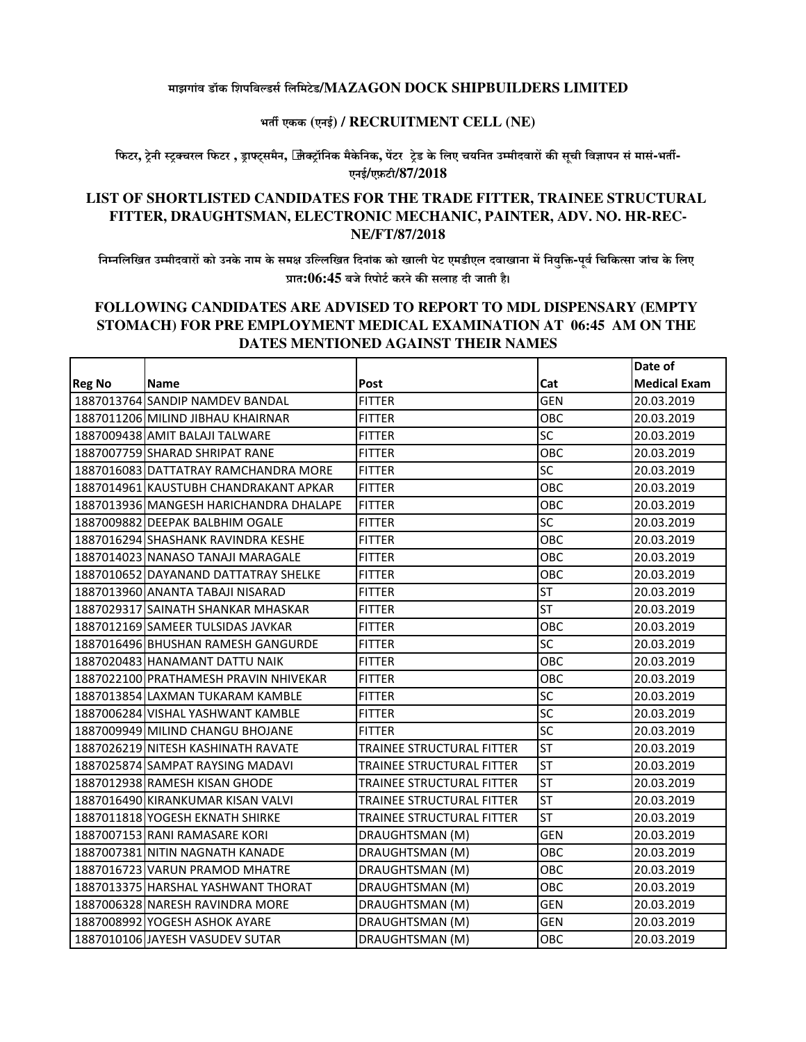## **माझगांव डॉक िशपिबडसिलिमटेड/MAZAGON DOCK SHIPBUILDERS LIMITED**

## **भत एकक (एनई) / RECRUITMENT CELL (NE)**

फिटर, ट्रेनी स्ट्रक्चरल फिटर , ड्राफ्ट्समैन, जि़क्ट्रॉनिक मैकेनिक, पेंटर ट्रेड के लिए चयनित उम्मीदवारों की सूची विज्ञापन सं मासं-भर्ती-**एनई/एफ़टी/87/2018**

## **LIST OF SHORTLISTED CANDIDATES FOR THE TRADE FITTER, TRAINEE STRUCTURAL FITTER, DRAUGHTSMAN, ELECTRONIC MECHANIC, PAINTER, ADV. NO. HR-REC-NE/FT/87/2018**

निम्नलिखित उम्मीदवारों को उनके नाम के समक्ष उल्लिखित दिनांक को खाली पेट एमडीएल दवाखाना में नियुक्ति-पूर्व चिकित्सा जांच के लिए **7ात:06:45 बजे8रपोटकरनेक, सलाह दी जाती है।**

## **FOLLOWING CANDIDATES ARE ADVISED TO REPORT TO MDL DISPENSARY (EMPTY STOMACH) FOR PRE EMPLOYMENT MEDICAL EXAMINATION AT 06:45 AM ON THE DATES MENTIONED AGAINST THEIR NAMES**

|               |                                        |                                  |            | Date of             |
|---------------|----------------------------------------|----------------------------------|------------|---------------------|
| <b>Reg No</b> | <b>Name</b>                            | Post                             | Cat        | <b>Medical Exam</b> |
|               | 1887013764 SANDIP NAMDEV BANDAL        | <b>FITTER</b>                    | <b>GEN</b> | 20.03.2019          |
|               | 1887011206 MILIND JIBHAU KHAIRNAR      | <b>FITTER</b>                    | OBC        | 20.03.2019          |
|               | 1887009438 AMIT BALAJI TALWARE         | <b>FITTER</b>                    | SC         | 20.03.2019          |
|               | 1887007759 SHARAD SHRIPAT RANE         | <b>FITTER</b>                    | OBC        | 20.03.2019          |
|               | 1887016083 DATTATRAY RAMCHANDRA MORE   | <b>FITTER</b>                    | SC         | 20.03.2019          |
|               | 1887014961 KAUSTUBH CHANDRAKANT APKAR  | <b>FITTER</b>                    | OBC        | 20.03.2019          |
|               | 1887013936 MANGESH HARICHANDRA DHALAPE | <b>FITTER</b>                    | OBC        | 20.03.2019          |
|               | 1887009882 DEEPAK BALBHIM OGALE        | <b>FITTER</b>                    | SC         | 20.03.2019          |
|               | 1887016294 SHASHANK RAVINDRA KESHE     | <b>FITTER</b>                    | OBC        | 20.03.2019          |
|               | 1887014023 NANASO TANAJI MARAGALE      | <b>FITTER</b>                    | OBC        | 20.03.2019          |
|               | 1887010652 DAYANAND DATTATRAY SHELKE   | <b>FITTER</b>                    | OBC        | 20.03.2019          |
|               | 1887013960 ANANTA TABAJI NISARAD       | <b>FITTER</b>                    | <b>ST</b>  | 20.03.2019          |
|               | 1887029317 SAINATH SHANKAR MHASKAR     | <b>FITTER</b>                    | <b>ST</b>  | 20.03.2019          |
|               | 1887012169 SAMEER TULSIDAS JAVKAR      | <b>FITTER</b>                    | OBC        | 20.03.2019          |
|               | 1887016496 BHUSHAN RAMESH GANGURDE     | <b>FITTER</b>                    | SC         | 20.03.2019          |
|               | 1887020483 HANAMANT DATTU NAIK         | <b>FITTER</b>                    | OBC        | 20.03.2019          |
|               | 1887022100 PRATHAMESH PRAVIN NHIVEKAR  | <b>FITTER</b>                    | OBC        | 20.03.2019          |
|               | 1887013854 LAXMAN TUKARAM KAMBLE       | <b>FITTER</b>                    | SC         | 20.03.2019          |
|               | 1887006284 VISHAL YASHWANT KAMBLE      | <b>FITTER</b>                    | <b>SC</b>  | 20.03.2019          |
|               | 1887009949 MILIND CHANGU BHOJANE       | <b>FITTER</b>                    | SC         | 20.03.2019          |
|               | 1887026219 NITESH KASHINATH RAVATE     | <b>TRAINEE STRUCTURAL FITTER</b> | <b>ST</b>  | 20.03.2019          |
|               | 1887025874 SAMPAT RAYSING MADAVI       | <b>TRAINEE STRUCTURAL FITTER</b> | <b>ST</b>  | 20.03.2019          |
|               | 1887012938 RAMESH KISAN GHODE          | TRAINEE STRUCTURAL FITTER        | <b>ST</b>  | 20.03.2019          |
|               | 1887016490 KIRANKUMAR KISAN VALVI      | TRAINEE STRUCTURAL FITTER        | <b>ST</b>  | 20.03.2019          |
|               | 1887011818 YOGESH EKNATH SHIRKE        | TRAINEE STRUCTURAL FITTER        | <b>ST</b>  | 20.03.2019          |
|               | 1887007153 RANI RAMASARE KORI          | DRAUGHTSMAN (M)                  | <b>GEN</b> | 20.03.2019          |
|               | 1887007381 NITIN NAGNATH KANADE        | DRAUGHTSMAN (M)                  | OBC        | 20.03.2019          |
|               | 1887016723 VARUN PRAMOD MHATRE         | DRAUGHTSMAN (M)                  | OBC        | 20.03.2019          |
|               | 1887013375 HARSHAL YASHWANT THORAT     | DRAUGHTSMAN (M)                  | OBC        | 20.03.2019          |
|               | 1887006328 NARESH RAVINDRA MORE        | DRAUGHTSMAN (M)                  | <b>GEN</b> | 20.03.2019          |
|               | 1887008992 YOGESH ASHOK AYARE          | DRAUGHTSMAN (M)                  | <b>GEN</b> | 20.03.2019          |
|               | 1887010106 JAYESH VASUDEV SUTAR        | DRAUGHTSMAN (M)                  | OBC        | 20.03.2019          |